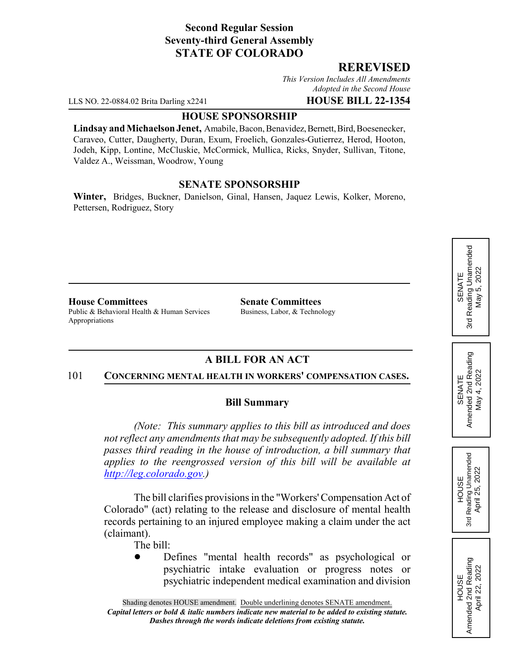# **Second Regular Session Seventy-third General Assembly STATE OF COLORADO**

# **REREVISED**

*This Version Includes All Amendments Adopted in the Second House*

LLS NO. 22-0884.02 Brita Darling x2241 **HOUSE BILL 22-1354**

#### **HOUSE SPONSORSHIP**

**Lindsay and Michaelson Jenet,** Amabile, Bacon, Benavidez, Bernett, Bird, Boesenecker, Caraveo, Cutter, Daugherty, Duran, Exum, Froelich, Gonzales-Gutierrez, Herod, Hooton, Jodeh, Kipp, Lontine, McCluskie, McCormick, Mullica, Ricks, Snyder, Sullivan, Titone, Valdez A., Weissman, Woodrow, Young

### **SENATE SPONSORSHIP**

**Winter,** Bridges, Buckner, Danielson, Ginal, Hansen, Jaquez Lewis, Kolker, Moreno, Pettersen, Rodriguez, Story

**House Committees Senate Committees** Public & Behavioral Health & Human Services Business, Labor, & Technology Appropriations

# **A BILL FOR AN ACT**

#### 101 **CONCERNING MENTAL HEALTH IN WORKERS' COMPENSATION CASES.**

# **Bill Summary**

*(Note: This summary applies to this bill as introduced and does not reflect any amendments that may be subsequently adopted. If this bill passes third reading in the house of introduction, a bill summary that applies to the reengrossed version of this bill will be available at http://leg.colorado.gov.)*

The bill clarifies provisions in the "Workers' Compensation Act of Colorado" (act) relating to the release and disclosure of mental health records pertaining to an injured employee making a claim under the act (claimant).

- The bill:
- Defines "mental health records" as psychological or psychiatric intake evaluation or progress notes or psychiatric independent medical examination and division

SENATE<br>Reading Unamended 3rd Reading Unamended 5,2022 May 5, 2022 May ! 3rd

SENATE<br>Amended 2nd Reading Amended 2nd Reading May 4, 2022 May 4, 2022



HOUSE<br>Amended 2nd Reading Amended 2nd Reading April 22, 2022

April 22, 2022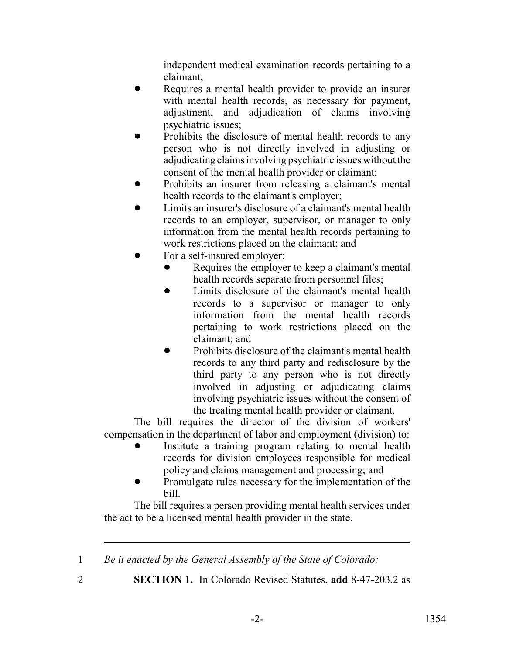independent medical examination records pertaining to a claimant;

- Requires a mental health provider to provide an insurer with mental health records, as necessary for payment, adjustment, and adjudication of claims involving psychiatric issues;
- Prohibits the disclosure of mental health records to any person who is not directly involved in adjusting or adjudicating claims involving psychiatric issues without the consent of the mental health provider or claimant;
- Prohibits an insurer from releasing a claimant's mental health records to the claimant's employer;
- ! Limits an insurer's disclosure of a claimant's mental health records to an employer, supervisor, or manager to only information from the mental health records pertaining to work restrictions placed on the claimant; and
- For a self-insured employer:
	- Requires the employer to keep a claimant's mental health records separate from personnel files;
	- Limits disclosure of the claimant's mental health records to a supervisor or manager to only information from the mental health records pertaining to work restrictions placed on the claimant; and
	- ! Prohibits disclosure of the claimant's mental health records to any third party and redisclosure by the third party to any person who is not directly involved in adjusting or adjudicating claims involving psychiatric issues without the consent of the treating mental health provider or claimant.

The bill requires the director of the division of workers' compensation in the department of labor and employment (division) to:

- Institute a training program relating to mental health records for division employees responsible for medical policy and claims management and processing; and
- ! Promulgate rules necessary for the implementation of the bill.

The bill requires a person providing mental health services under the act to be a licensed mental health provider in the state.

1 *Be it enacted by the General Assembly of the State of Colorado:*

2 **SECTION 1.** In Colorado Revised Statutes, **add** 8-47-203.2 as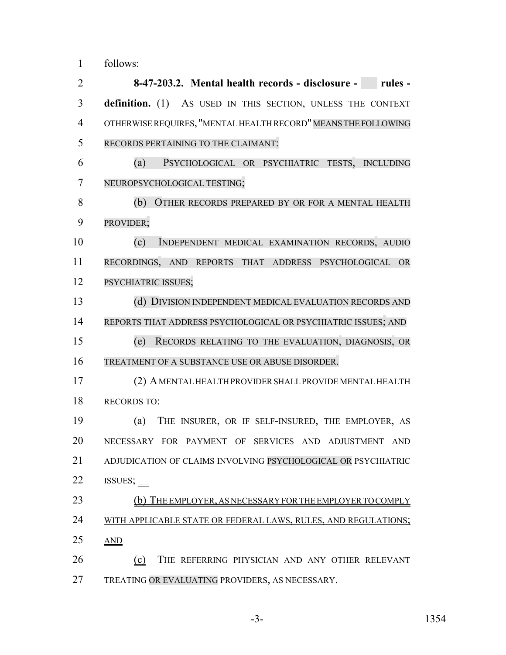follows:

 **8-47-203.2. Mental health records - disclosure - rules - definition.** (1) AS USED IN THIS SECTION, UNLESS THE CONTEXT 4 OTHERWISE REQUIRES, "MENTAL HEALTH RECORD" MEANS THE FOLLOWING RECORDS PERTAINING TO THE CLAIMANT: (a) PSYCHOLOGICAL OR PSYCHIATRIC TESTS, INCLUDING NEUROPSYCHOLOGICAL TESTING; (b) OTHER RECORDS PREPARED BY OR FOR A MENTAL HEALTH PROVIDER; (c) INDEPENDENT MEDICAL EXAMINATION RECORDS, AUDIO RECORDINGS, AND REPORTS THAT ADDRESS PSYCHOLOGICAL OR PSYCHIATRIC ISSUES; (d) DIVISION INDEPENDENT MEDICAL EVALUATION RECORDS AND REPORTS THAT ADDRESS PSYCHOLOGICAL OR PSYCHIATRIC ISSUES; AND (e) RECORDS RELATING TO THE EVALUATION, DIAGNOSIS, OR TREATMENT OF A SUBSTANCE USE OR ABUSE DISORDER. (2) A MENTAL HEALTH PROVIDER SHALL PROVIDE MENTAL HEALTH RECORDS TO: (a) THE INSURER, OR IF SELF-INSURED, THE EMPLOYER, AS NECESSARY FOR PAYMENT OF SERVICES AND ADJUSTMENT AND 21 ADJUDICATION OF CLAIMS INVOLVING PSYCHOLOGICAL OR PSYCHIATRIC 22 ISSUES; \_\_ 23 (b) THE EMPLOYER, AS NECESSARY FOR THE EMPLOYER TO COMPLY 24 WITH APPLICABLE STATE OR FEDERAL LAWS, RULES, AND REGULATIONS; AND (c) THE REFERRING PHYSICIAN AND ANY OTHER RELEVANT TREATING OR EVALUATING PROVIDERS, AS NECESSARY.

-3- 1354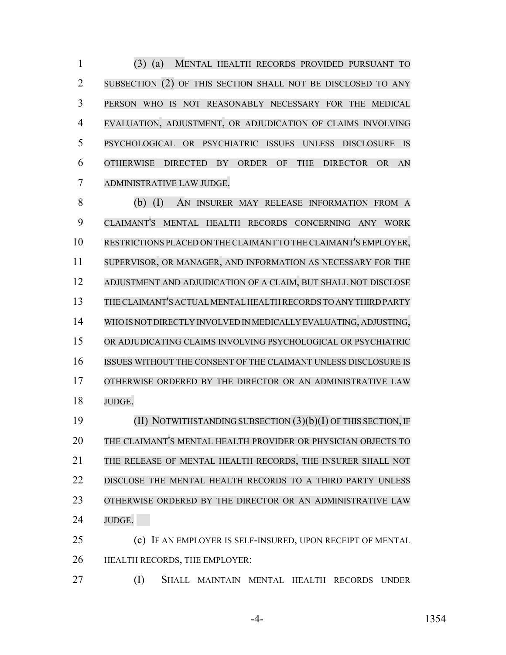(3) (a) MENTAL HEALTH RECORDS PROVIDED PURSUANT TO SUBSECTION (2) OF THIS SECTION SHALL NOT BE DISCLOSED TO ANY PERSON WHO IS NOT REASONABLY NECESSARY FOR THE MEDICAL EVALUATION, ADJUSTMENT, OR ADJUDICATION OF CLAIMS INVOLVING PSYCHOLOGICAL OR PSYCHIATRIC ISSUES UNLESS DISCLOSURE IS OTHERWISE DIRECTED BY ORDER OF THE DIRECTOR OR AN ADMINISTRATIVE LAW JUDGE.

 (b) (I) AN INSURER MAY RELEASE INFORMATION FROM A CLAIMANT'S MENTAL HEALTH RECORDS CONCERNING ANY WORK RESTRICTIONS PLACED ON THE CLAIMANT TO THE CLAIMANT'S EMPLOYER, SUPERVISOR, OR MANAGER, AND INFORMATION AS NECESSARY FOR THE ADJUSTMENT AND ADJUDICATION OF A CLAIM, BUT SHALL NOT DISCLOSE THECLAIMANT'S ACTUALMENTALHEALTH RECORDS TO ANY THIRD PARTY WHO IS NOT DIRECTLY INVOLVED IN MEDICALLY EVALUATING, ADJUSTING, OR ADJUDICATING CLAIMS INVOLVING PSYCHOLOGICAL OR PSYCHIATRIC ISSUES WITHOUT THE CONSENT OF THE CLAIMANT UNLESS DISCLOSURE IS OTHERWISE ORDERED BY THE DIRECTOR OR AN ADMINISTRATIVE LAW JUDGE.

 (II) NOTWITHSTANDING SUBSECTION (3)(b)(I) OF THIS SECTION,IF THE CLAIMANT'S MENTAL HEALTH PROVIDER OR PHYSICIAN OBJECTS TO THE RELEASE OF MENTAL HEALTH RECORDS, THE INSURER SHALL NOT DISCLOSE THE MENTAL HEALTH RECORDS TO A THIRD PARTY UNLESS 23 OTHERWISE ORDERED BY THE DIRECTOR OR AN ADMINISTRATIVE LAW JUDGE.

 (c) IF AN EMPLOYER IS SELF-INSURED, UPON RECEIPT OF MENTAL HEALTH RECORDS, THE EMPLOYER:

(I) SHALL MAINTAIN MENTAL HEALTH RECORDS UNDER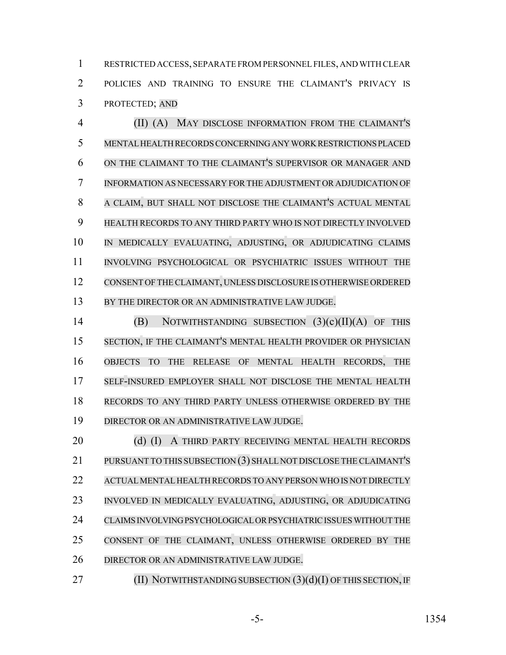RESTRICTED ACCESS, SEPARATE FROM PERSONNEL FILES, AND WITH CLEAR POLICIES AND TRAINING TO ENSURE THE CLAIMANT'S PRIVACY IS PROTECTED; AND

 (II) (A) MAY DISCLOSE INFORMATION FROM THE CLAIMANT'S MENTAL HEALTH RECORDS CONCERNING ANY WORK RESTRICTIONS PLACED ON THE CLAIMANT TO THE CLAIMANT'S SUPERVISOR OR MANAGER AND INFORMATION AS NECESSARY FOR THE ADJUSTMENT OR ADJUDICATION OF A CLAIM, BUT SHALL NOT DISCLOSE THE CLAIMANT'S ACTUAL MENTAL HEALTH RECORDS TO ANY THIRD PARTY WHO IS NOT DIRECTLY INVOLVED IN MEDICALLY EVALUATING, ADJUSTING, OR ADJUDICATING CLAIMS INVOLVING PSYCHOLOGICAL OR PSYCHIATRIC ISSUES WITHOUT THE CONSENT OF THE CLAIMANT, UNLESS DISCLOSURE IS OTHERWISE ORDERED 13 BY THE DIRECTOR OR AN ADMINISTRATIVE LAW JUDGE.

 (B) NOTWITHSTANDING SUBSECTION (3)(c)(II)(A) OF THIS SECTION, IF THE CLAIMANT'S MENTAL HEALTH PROVIDER OR PHYSICIAN OBJECTS TO THE RELEASE OF MENTAL HEALTH RECORDS, THE SELF-INSURED EMPLOYER SHALL NOT DISCLOSE THE MENTAL HEALTH RECORDS TO ANY THIRD PARTY UNLESS OTHERWISE ORDERED BY THE DIRECTOR OR AN ADMINISTRATIVE LAW JUDGE.

20 (d) (I) A THIRD PARTY RECEIVING MENTAL HEALTH RECORDS PURSUANT TO THIS SUBSECTION (3) SHALL NOT DISCLOSE THE CLAIMANT'S 22 ACTUAL MENTAL HEALTH RECORDS TO ANY PERSON WHO IS NOT DIRECTLY INVOLVED IN MEDICALLY EVALUATING, ADJUSTING, OR ADJUDICATING CLAIMS INVOLVING PSYCHOLOGICAL OR PSYCHIATRIC ISSUES WITHOUT THE CONSENT OF THE CLAIMANT, UNLESS OTHERWISE ORDERED BY THE DIRECTOR OR AN ADMINISTRATIVE LAW JUDGE.

**(II) NOTWITHSTANDING SUBSECTION (3)(d)(I) OF THIS SECTION, IF**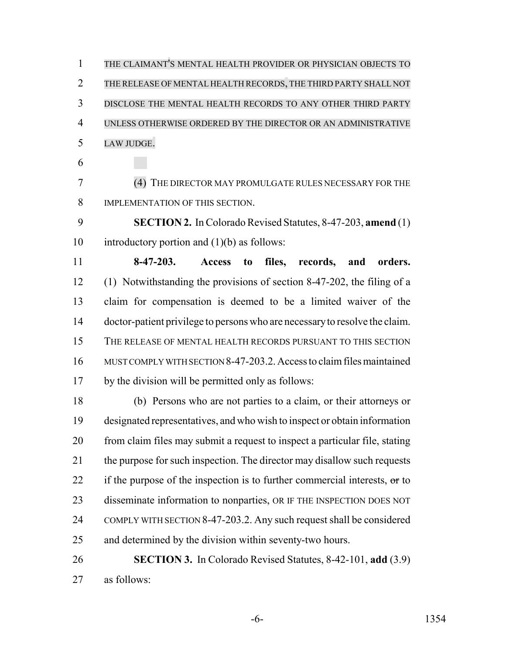THE CLAIMANT'S MENTAL HEALTH PROVIDER OR PHYSICIAN OBJECTS TO THE RELEASE OF MENTAL HEALTH RECORDS, THE THIRD PARTY SHALL NOT DISCLOSE THE MENTAL HEALTH RECORDS TO ANY OTHER THIRD PARTY UNLESS OTHERWISE ORDERED BY THE DIRECTOR OR AN ADMINISTRATIVE LAW JUDGE.

 (4) THE DIRECTOR MAY PROMULGATE RULES NECESSARY FOR THE IMPLEMENTATION OF THIS SECTION.

 **SECTION 2.** In Colorado Revised Statutes, 8-47-203, **amend** (1) 10 introductory portion and  $(1)(b)$  as follows:

 **8-47-203. Access to files, records, and orders.** (1) Notwithstanding the provisions of section 8-47-202, the filing of a claim for compensation is deemed to be a limited waiver of the doctor-patient privilege to persons who are necessary to resolve the claim. THE RELEASE OF MENTAL HEALTH RECORDS PURSUANT TO THIS SECTION MUST COMPLY WITH SECTION 8-47-203.2. Access to claim files maintained by the division will be permitted only as follows:

 (b) Persons who are not parties to a claim, or their attorneys or designated representatives, and who wish to inspect or obtain information from claim files may submit a request to inspect a particular file, stating 21 the purpose for such inspection. The director may disallow such requests 22 if the purpose of the inspection is to further commercial interests,  $\sigma$ r to disseminate information to nonparties, OR IF THE INSPECTION DOES NOT COMPLY WITH SECTION 8-47-203.2. Any such request shall be considered and determined by the division within seventy-two hours.

 **SECTION 3.** In Colorado Revised Statutes, 8-42-101, **add** (3.9) as follows: